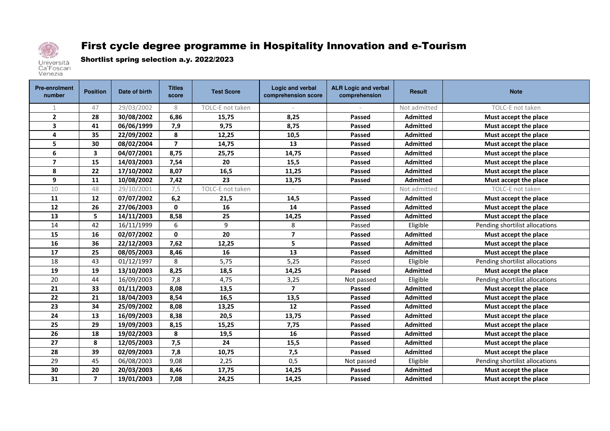

## First cycle degree programme in Hospitality Innovation and e-Tourism

Shortlist spring selection a.y. 2022/2023

| <b>Pre-enrolment</b><br>number | <b>Position</b> | Date of birth | <b>Titles</b><br>score | <b>Test Score</b> | Logic and verbal<br>comprehension score | <b>ALR Logic and verbal</b><br>comprehension | <b>Result</b>   | <b>Note</b>                    |
|--------------------------------|-----------------|---------------|------------------------|-------------------|-----------------------------------------|----------------------------------------------|-----------------|--------------------------------|
| 1                              | 47              | 29/03/2002    | 8                      | TOLC-E not taken  |                                         |                                              | Not admitted    | TOLC-E not taken               |
| $\overline{2}$                 | 28              | 30/08/2002    | 6,86                   | 15,75             | 8,25                                    | <b>Passed</b>                                | <b>Admitted</b> | Must accept the place          |
| $\overline{\mathbf{3}}$        | 41              | 06/06/1999    | 7,9                    | 9,75              | 8,75                                    | <b>Passed</b>                                | <b>Admitted</b> | Must accept the place          |
| $\overline{\mathbf{4}}$        | 35              | 22/09/2002    | 8                      | 12,25             | 10,5                                    | Passed                                       | <b>Admitted</b> | Must accept the place          |
| 5                              | 30              | 08/02/2004    | $\overline{7}$         | 14,75             | 13                                      | Passed                                       | <b>Admitted</b> | Must accept the place          |
| 6                              | 3               | 04/07/2001    | 8,75                   | 25,75             | 14,75                                   | Passed                                       | <b>Admitted</b> | Must accept the place          |
| $\overline{\mathbf{z}}$        | 15              | 14/03/2003    | 7,54                   | 20                | 15,5                                    | <b>Passed</b>                                | <b>Admitted</b> | Must accept the place          |
| 8                              | 22              | 17/10/2002    | 8,07                   | 16,5              | 11,25                                   | <b>Passed</b>                                | <b>Admitted</b> | Must accept the place          |
| 9                              | 11              | 10/08/2002    | 7,42                   | 23                | 13,75                                   | <b>Passed</b>                                | <b>Admitted</b> | Must accept the place          |
| 10                             | 48              | 29/10/2001    | 7,5                    | TOLC-E not taken  |                                         |                                              | Not admitted    | TOLC-E not taken               |
| 11                             | 12              | 07/07/2002    | 6,2                    | 21,5              | 14,5                                    | Passed                                       | <b>Admitted</b> | Must accept the place          |
| 12                             | 26              | 27/06/2003    | $\mathbf{0}$           | 16                | 14                                      | Passed                                       | <b>Admitted</b> | Must accept the place          |
| 13                             | 5               | 14/11/2003    | 8,58                   | 25                | 14,25                                   | Passed                                       | <b>Admitted</b> | Must accept the place          |
| 14                             | 42              | 16/11/1999    | 6                      | 9                 | 8                                       | Passed                                       | Eligible        | Pending shortilist allocations |
| 15                             | 16              | 02/07/2002    | $\mathbf{0}$           | 20                | $\overline{7}$                          | Passed                                       | <b>Admitted</b> | Must accept the place          |
| 16                             | 36              | 22/12/2003    | 7,62                   | 12,25             | 5                                       | Passed                                       | <b>Admitted</b> | Must accept the place          |
| 17                             | 25              | 08/05/2003    | 8,46                   | 16                | 13                                      | <b>Passed</b>                                | <b>Admitted</b> | Must accept the place          |
| 18                             | 43              | 01/12/1997    | 8                      | 5,75              | 5,25                                    | Passed                                       | Eligible        | Pending shortilist allocations |
| 19                             | 19              | 13/10/2003    | 8,25                   | 18,5              | 14,25                                   | Passed                                       | <b>Admitted</b> | Must accept the place          |
| 20                             | 44              | 16/09/2003    | 7,8                    | 4,75              | 3,25                                    | Not passed                                   | Eligible        | Pending shortilist allocations |
| 21                             | 33              | 01/11/2003    | 8,08                   | 13,5              | 7                                       | <b>Passed</b>                                | <b>Admitted</b> | Must accept the place          |
| 22                             | 21              | 18/04/2003    | 8,54                   | 16,5              | 13,5                                    | <b>Passed</b>                                | <b>Admitted</b> | Must accept the place          |
| 23                             | 34              | 25/09/2002    | 8,08                   | 13,25             | 12                                      | <b>Passed</b>                                | <b>Admitted</b> | Must accept the place          |
| 24                             | 13              | 16/09/2003    | 8,38                   | 20,5              | 13,75                                   | Passed                                       | <b>Admitted</b> | Must accept the place          |
| 25                             | 29              | 19/09/2003    | 8,15                   | 15,25             | 7,75                                    | Passed                                       | <b>Admitted</b> | Must accept the place          |
| 26                             | 18              | 19/02/2003    | 8                      | 19,5              | 16                                      | Passed                                       | <b>Admitted</b> | Must accept the place          |
| 27                             | 8               | 12/05/2003    | 7,5                    | 24                | 15,5                                    | Passed                                       | <b>Admitted</b> | Must accept the place          |
| 28                             | 39              | 02/09/2003    | 7,8                    | 10,75             | 7,5                                     | Passed                                       | <b>Admitted</b> | Must accept the place          |
| 29                             | 45              | 06/08/2003    | 9,08                   | 2,25              | 0,5                                     | Not passed                                   | Eligible        | Pending shortilist allocations |
| 30                             | 20              | 20/03/2003    | 8,46                   | 17,75             | 14,25                                   | Passed                                       | Admitted        | Must accept the place          |
| 31                             | $\overline{ }$  | 19/01/2003    | 7,08                   | 24,25             | 14,25                                   | <b>Passed</b>                                | <b>Admitted</b> | Must accept the place          |